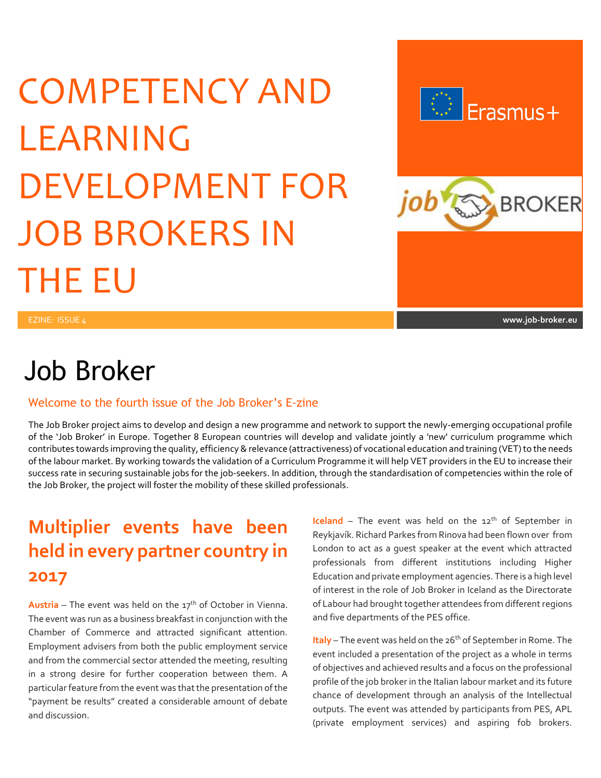# COMPETENCY AND LEARNING DEVELOPMENT FOR JOB BROKERS IN THE EU



## Job Broker

#### Welcome to the fourth issue of the Job Broker's E-zine

The Job Broker project aims to develop and design a new programme and network to support the newly-emerging occupational profile of the 'Job Broker' in Europe. Together 8 European countries will develop and validate jointly a 'new' curriculum programme which contributes towards improving the quality, efficiency & relevance (attractiveness) of vocational education and training (VET) to the needs of the labour market. By working towards the validation of a Curriculum Programme it will help VET providers in the EU to increase their success rate in securing sustainable jobs for the job-seekers. In addition, through the standardisation of competencies within the role of the Job Broker, the project will foster the mobility of these skilled professionals.

## **Multiplier events have been held in every partner country in 2017**

**Austria** – The event was held on the  $17<sup>th</sup>$  of October in Vienna. The event was run as a business breakfast in conjunction with the Chamber of Commerce and attracted significant attention. Employment advisers from both the public employment service and from the commercial sector attended the meeting, resulting in a strong desire for further cooperation between them. A particular feature from the event was that the presentation of the "payment be results" created a considerable amount of debate and discussion.

**Iceland** – The event was held on the  $12<sup>th</sup>$  of September in Reykjavík. Richard Parkes from Rinova had been flown over from London to act as a guest speaker at the event which attracted professionals from different institutions including Higher Education and private employment agencies. There is a high level of interest in the role of Job Broker in Iceland as the Directorate of Labour had brought together attendees from different regions and five departments of the PES office.

**Italy** – The event was held on the 26<sup>th</sup> of September in Rome. The event included a presentation of the project as a whole in terms of objectives and achieved results and a focus on the professional profile of the job broker in the Italian labour market and its future chance of development through an analysis of the Intellectual outputs. The event was attended by participants from PES, APL (private employment services) and aspiring fob brokers.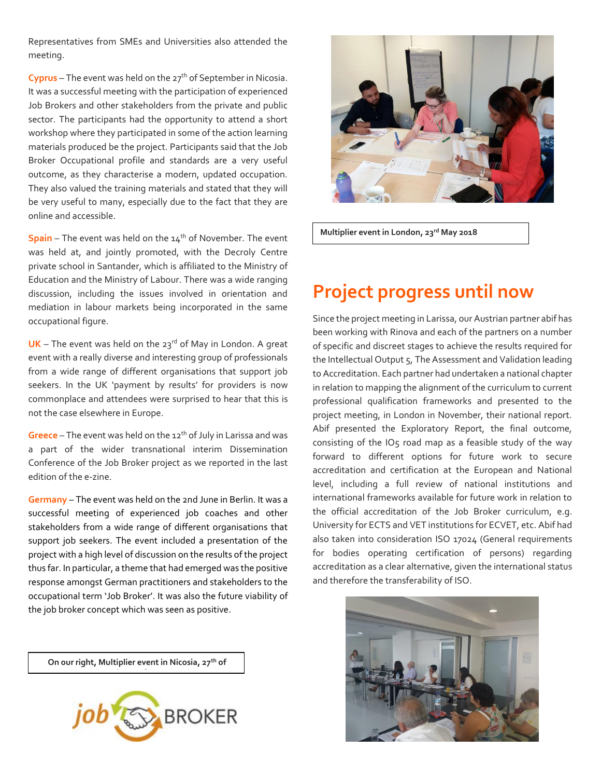Representatives from SMEs and Universities also attended the meeting.

**Cyprus** – The event was held on the 27<sup>th</sup> of September in Nicosia. It was a successful meeting with the participation of experienced Job Brokers and other stakeholders from the private and public sector. The participants had the opportunity to attend a short workshop where they participated in some of the action learning materials produced be the project. Participants said that the Job Broker Occupational profile and standards are a very useful outcome, as they characterise a modern, updated occupation. They also valued the training materials and stated that they will be very useful to many, especially due to the fact that they are online and accessible.

**Spain** – The event was held on the 14<sup>th</sup> of November. The event was held at, and jointly promoted, with the Decroly Centre private school in Santander, which is affiliated to the Ministry of Education and the Ministry of Labour. There was a wide ranging discussion, including the issues involved in orientation and mediation in labour markets being incorporated in the same occupational figure.

 $UK$  – The event was held on the  $23<sup>rd</sup>$  of May in London. A great event with a really diverse and interesting group of professionals from a wide range of different organisations that support job seekers. In the UK 'payment by results' for providers is now commonplace and attendees were surprised to hear that this is not the case elsewhere in Europe.

**Greece** – The event was held on the 12<sup>th</sup> of July in Larissa and was a part of the wider transnational interim Dissemination Conference of the Job Broker project as we reported in the last edition of the e-zine.

**Germany** – The event was held on the 2nd June in Berlin. It was a successful meeting of experienced job coaches and other stakeholders from a wide range of different organisations that support job seekers. The event included a presentation of the project with a high level of discussion on the results of the project thus far. In particular, a theme that had emerged was the positive response amongst German practitioners and stakeholders to the occupational term 'Job Broker'. It was also the future viability of the job broker concept which was seen as positive.



**Multiplier event in London, 23rd May 2018**

#### **Project progress until now**

Since the project meeting in Larissa, our Austrian partner abif has been working with Rinova and each of the partners on a number of specific and discreet stages to achieve the results required for the Intellectual Output 5, The Assessment and Validation leading to Accreditation. Each partner had undertaken a national chapter in relation to mapping the alignment of the curriculum to current professional qualification frameworks and presented to the project meeting, in London in November, their national report. Abif presented the Exploratory Report, the final outcome, consisting of the IO5 road map as a feasible study of the way forward to different options for future work to secure accreditation and certification at the European and National level, including a full review of national institutions and international frameworks available for future work in relation to the official accreditation of the Job Broker curriculum, e.g. University for ECTS and VET institutions for ECVET, etc. Abif had also taken into consideration ISO 17024 (General requirements for bodies operating certification of persons) regarding accreditation as a clear alternative, given the international status and therefore the transferability of ISO.



**On our right, Multiplier event in Nicosia, 27th of September**

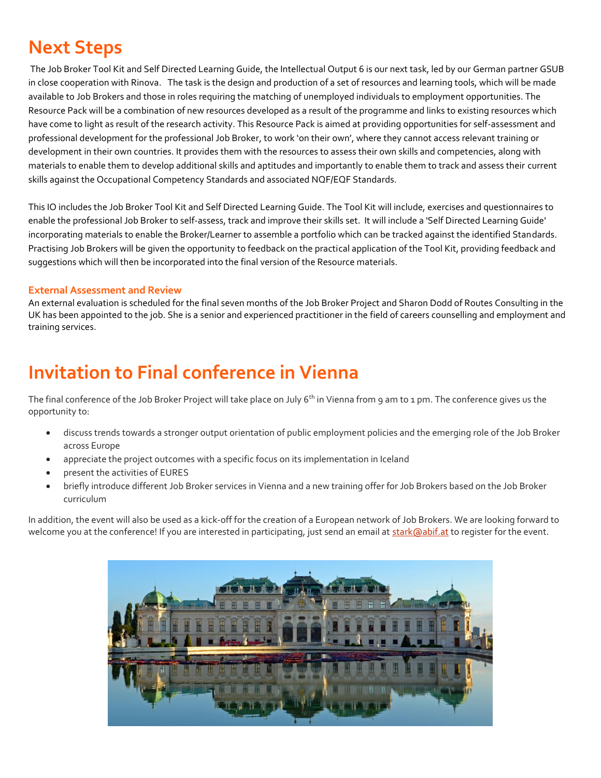## **Next Steps**

The Job Broker Tool Kit and Self Directed Learning Guide, the Intellectual Output 6 is our next task, led by our German partner GSUB in close cooperation with Rinova. The task is the design and production of a set of resources and learning tools, which will be made available to Job Brokers and those in roles requiring the matching of unemployed individuals to employment opportunities. The Resource Pack will be a combination of new resources developed as a result of the programme and links to existing resources which have come to light as result of the research activity. This Resource Pack is aimed at providing opportunities for self-assessment and professional development for the professional Job Broker, to work 'on their own', where they cannot access relevant training or development in their own countries. It provides them with the resources to assess their own skills and competencies, along with materials to enable them to develop additional skills and aptitudes and importantly to enable them to track and assess their current skills against the Occupational Competency Standards and associated NQF/EQF Standards.

This IO includes the Job Broker Tool Kit and Self Directed Learning Guide. The Tool Kit will include, exercises and questionnaires to enable the professional Job Broker to self-assess, track and improve their skills set. It will include a 'Self Directed Learning Guide' incorporating materials to enable the Broker/Learner to assemble a portfolio which can be tracked against the identified Standards. Practising Job Brokers will be given the opportunity to feedback on the practical application of the Tool Kit, providing feedback and suggestions which will then be incorporated into the final version of the Resource materials.

#### **External Assessment and Review**

An external evaluation is scheduled for the final seven months of the Job Broker Project and Sharon Dodd of Routes Consulting in the UK has been appointed to the job. She is a senior and experienced practitioner in the field of careers counselling and employment and training services.

#### **Invitation to Final conference in Vienna**

The final conference of the Job Broker Project will take place on July  $6<sup>th</sup>$  in Vienna from 9 am to 1 pm. The conference gives us the opportunity to:

- discuss trends towards a stronger output orientation of public employment policies and the emerging role of the Job Broker across Europe
- appreciate the project outcomes with a specific focus on its implementation in Iceland
- present the activities of EURES
- briefly introduce different Job Broker services in Vienna and a new training offer for Job Brokers based on the Job Broker curriculum

In addition, the event will also be used as a kick-off for the creation of a European network of Job Brokers. We are looking forward to welcome you at the conference! If you are interested in participating, just send an email a[t stark@abif.at](mailto:stark@abif.at) to register for the event.